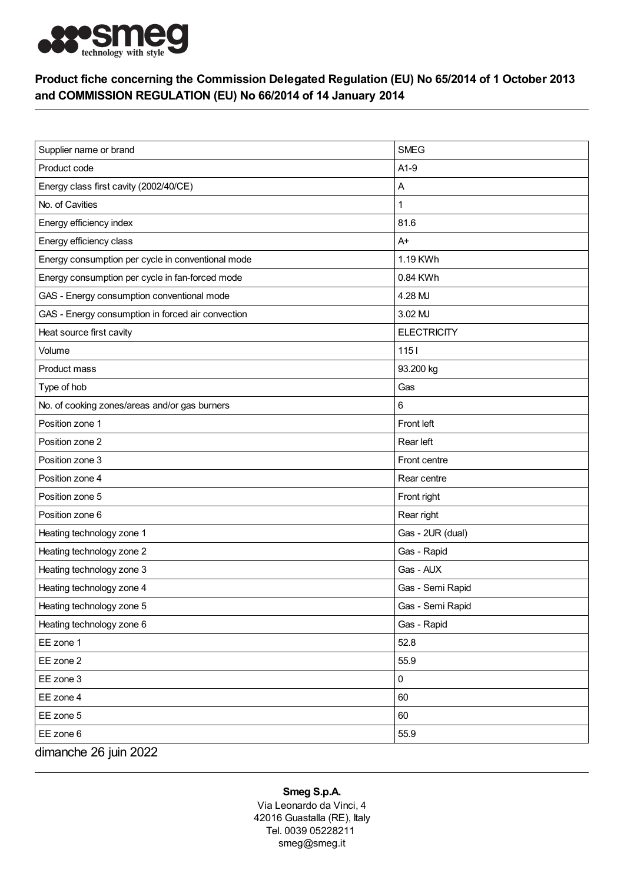

## Product fiche concerning the Commission Delegated Regulation (EU) No 65/2014 of 1 October 2013 and COMMISSION REGULATION (EU) No 66/2014 of 14 January 2014

| Supplier name or brand                            | <b>SMEG</b>        |
|---------------------------------------------------|--------------------|
| Product code                                      | $A1-9$             |
| Energy class first cavity (2002/40/CE)            | A                  |
| No. of Cavities                                   | $\mathbf{1}$       |
| Energy efficiency index                           | 81.6               |
| Energy efficiency class                           | $A+$               |
| Energy consumption per cycle in conventional mode | 1.19 KWh           |
| Energy consumption per cycle in fan-forced mode   | 0.84 KWh           |
| GAS - Energy consumption conventional mode        | 4.28 MJ            |
| GAS - Energy consumption in forced air convection | 3.02 MJ            |
| Heat source first cavity                          | <b>ELECTRICITY</b> |
| Volume                                            | $1151$             |
| Product mass                                      | 93.200 kg          |
| Type of hob                                       | Gas                |
| No. of cooking zones/areas and/or gas burners     | 6                  |
| Position zone 1                                   | Front left         |
| Position zone 2                                   | Rear left          |
| Position zone 3                                   | Front centre       |
| Position zone 4                                   | Rear centre        |
| Position zone 5                                   | Front right        |
| Position zone 6                                   | Rear right         |
| Heating technology zone 1                         | Gas - 2UR (dual)   |
| Heating technology zone 2                         | Gas - Rapid        |
| Heating technology zone 3                         | Gas - AUX          |
| Heating technology zone 4                         | Gas - Semi Rapid   |
| Heating technology zone 5                         | Gas - Semi Rapid   |
| Heating technology zone 6                         | Gas - Rapid        |
| EE zone 1                                         | 52.8               |
| EE zone 2                                         | 55.9               |
| EE zone 3                                         | 0                  |
| EE zone 4                                         | 60                 |
| EE zone 5                                         | 60                 |
| EE zone 6                                         | 55.9               |
| dimanche 26 juin 2022                             |                    |

## Smeg S.p.A.

Via Leonardo da Vinci, 4 42016 Guastalla (RE), Italy Tel. 0039 05228211 smeg@smeg.it